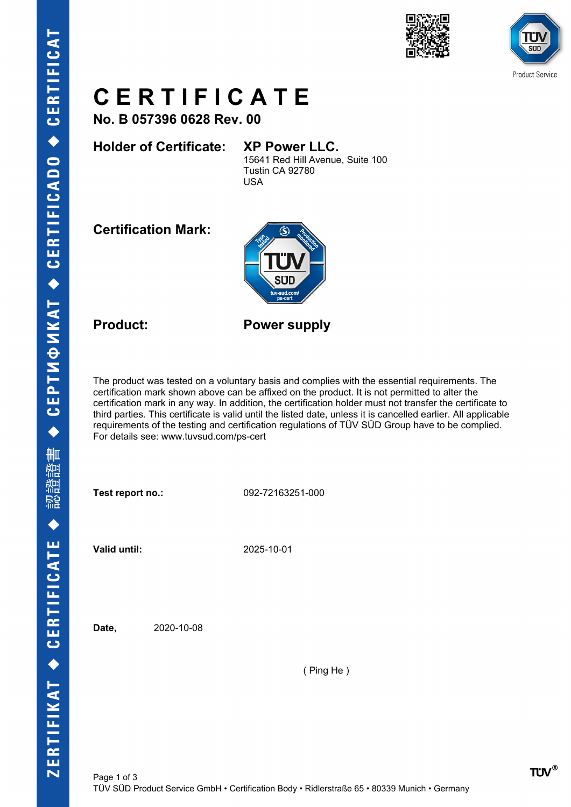



# **C E R T I F I C A T E**

**No. B 057396 0628 Rev. 00**

## **Holder of Certificate: XP Power LLC.**

15641 Red Hill Avenue, Suite 100 Tustin CA 92780 USA

**Certification Mark:**



**Product: Power supply**

The product was tested on a voluntary basis and complies with the essential requirements. The certification mark shown above can be affixed on the product. It is not permitted to alter the certification mark in any way. In addition, the certification holder must not transfer the certificate to third parties. This certificate is valid until the listed date, unless it is cancelled earlier. All applicable requirements of the testing and certification regulations of TÜV SÜD Group have to be complied. For details see: www.tuvsud.com/ps-cert

**Test report no.:** 092-72163251-000

**Valid until:** 2025-10-01

**Date,** 2020-10-08

( Ping He )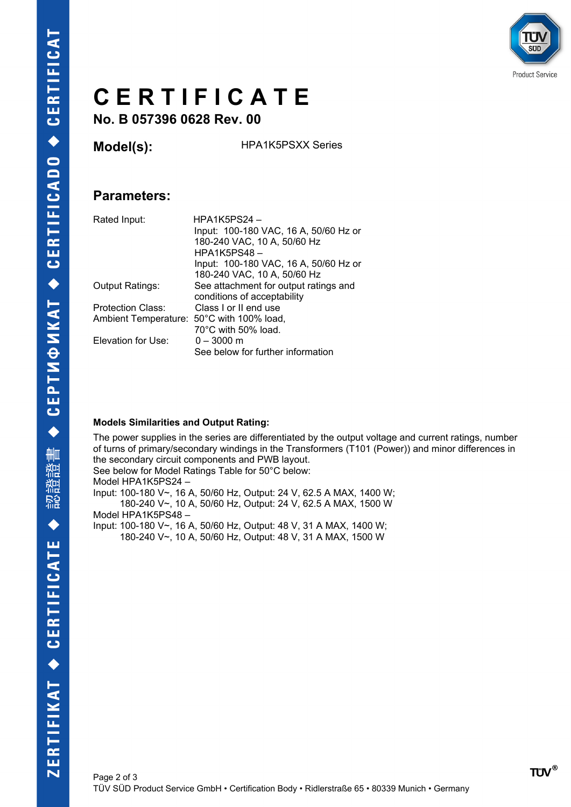

# **C E R T I F I C A T E**

**No. B 057396 0628 Rev. 00**

**Model(s):** HPA1K5PSXX Series

### **Parameters:**

| Rated Input:                              | $HPA1K5PS24 -$<br>Input: 100-180 VAC, 16 A, 50/60 Hz or<br>180-240 VAC, 10 A, 50/60 Hz<br><b>HPA1K5PS48-</b> |
|-------------------------------------------|--------------------------------------------------------------------------------------------------------------|
|                                           | Input: 100-180 VAC, 16 A, 50/60 Hz or                                                                        |
|                                           | 180-240 VAC, 10 A, 50/60 Hz                                                                                  |
| <b>Output Ratings:</b>                    | See attachment for output ratings and                                                                        |
|                                           | conditions of acceptability                                                                                  |
| <b>Protection Class:</b>                  | Class Lor II end use                                                                                         |
| Ambient Temperature: 50°C with 100% load, |                                                                                                              |
|                                           | 70°C with 50% load.                                                                                          |
| Elevation for Use:                        | $0 - 3000$ m                                                                                                 |
|                                           | See below for further information                                                                            |

#### **Models Similarities and Output Rating:**

The power supplies in the series are differentiated by the output voltage and current ratings, number of turns of primary/secondary windings in the Transformers (T101 (Power)) and minor differences in the secondary circuit components and PWB layout. See below for Model Ratings Table for 50°C below: Model HPA1K5PS24 – Input: 100-180 V~, 16 A, 50/60 Hz, Output: 24 V, 62.5 A MAX, 1400 W; 180-240 V~, 10 A, 50/60 Hz, Output: 24 V, 62.5 A MAX, 1500 W Model HPA1K5PS48 – Input: 100-180 V~, 16 A, 50/60 Hz, Output: 48 V, 31 A MAX, 1400 W; 180-240 V~, 10 A, 50/60 Hz, Output: 48 V, 31 A MAX, 1500 W